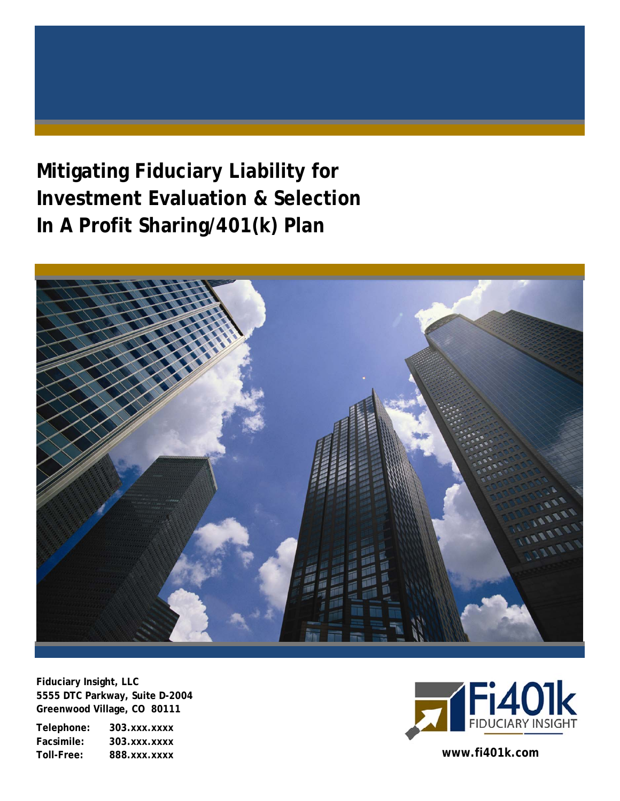# **Mitigating Fiduciary Liability for Investment Evaluation & Selection In A Profit Sharing/401(k) Plan**



**Fiduciary Insight, LLC 5555 DTC Parkway, Suite D-2004 Greenwood Village, CO 80111** 

**Telephone: 303.xxx.xxxx Facsimile: 303.xxx.xxxx Toll-Free: 888.xxx.xxxx www.fi401k.com** 

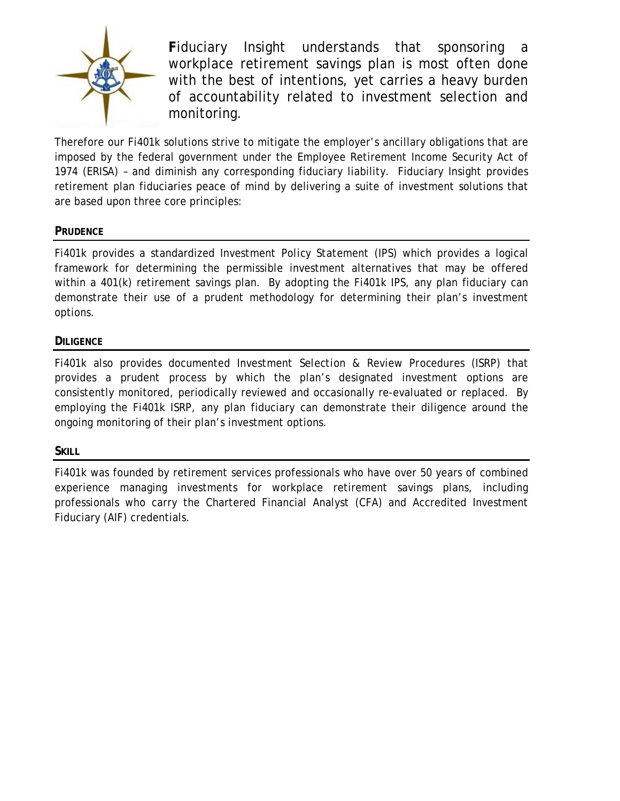

**F**iduciary Insight understands that sponsoring a workplace retirement savings plan is most often done with the best of intentions, yet carries a heavy burden of accountability related to investment selection and monitoring.

Therefore our Fi401k solutions strive to mitigate the employer's ancillary obligations that are imposed by the federal government under the Employee Retirement Income Security Act of 1974 (ERISA) – and diminish any corresponding fiduciary liability. Fiduciary Insight provides retirement plan fiduciaries peace of mind by delivering a suite of investment solutions that are based upon three core principles:

#### **PRUDENCE**

Fi401k provides a standardized *Investment Policy Statement* (IPS) which provides a logical framework for determining the permissible investment alternatives that may be offered within a 401(k) retirement savings plan. By adopting the Fi401k IPS, any plan fiduciary can demonstrate their use of a prudent methodology for determining their plan's investment options.

#### **DILIGENCE**

Fi401k also provides documented *Investment Selection & Review Procedures* (ISRP) that provides a prudent process by which the plan's designated investment options are consistently monitored, periodically reviewed and occasionally re-evaluated or replaced. By employing the Fi401k ISRP, any plan fiduciary can demonstrate their diligence around the ongoing monitoring of their plan's investment options.

#### **SKILL**

Fi401k was founded by retirement services professionals who have over 50 years of combined experience managing investments for workplace retirement savings plans, including professionals who carry the Chartered Financial Analyst (CFA) and Accredited Investment Fiduciary (AIF) credentials.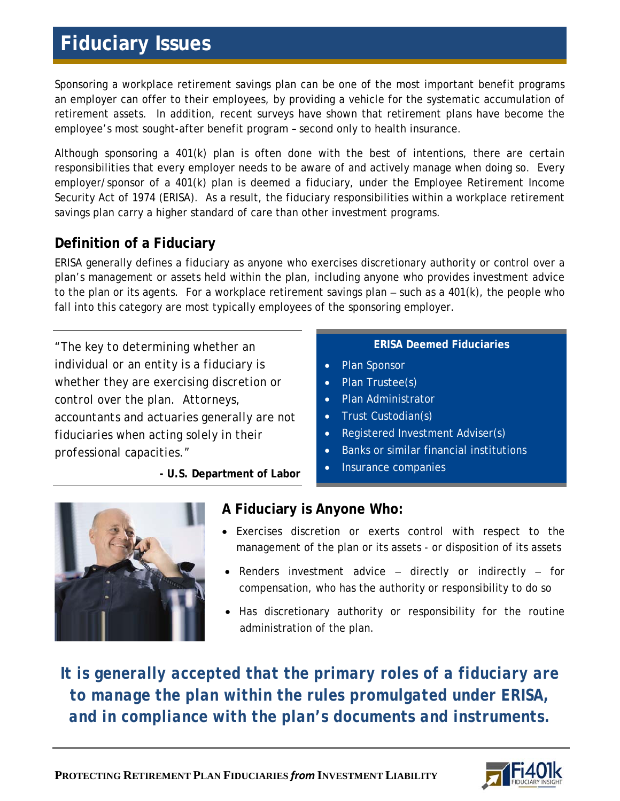# **Fiduciary Issues**

Sponsoring a workplace retirement savings plan can be one of the most important benefit programs an employer can offer to their employees, by providing a vehicle for the systematic accumulation of retirement assets. In addition, recent surveys have shown that retirement plans have become the employee's most sought-after benefit program – second only to health insurance.

Although sponsoring a 401(k) plan is often done with the best of intentions, there are certain responsibilities that every employer needs to be aware of and actively manage when doing so. Every employer/sponsor of a 401(k) plan is deemed a fiduciary, under the Employee Retirement Income Security Act of 1974 (ERISA). As a result, the fiduciary responsibilities within a workplace retirement savings plan carry a higher standard of care than other investment programs.

### **Definition of a Fiduciary**

ERISA generally defines a fiduciary as anyone who exercises discretionary authority or control over a plan's management or assets held within the plan, including anyone who provides investment advice to the plan or its agents. For a workplace retirement savings plan  $-$  such as a 401 $(k)$ , the people who fall into this category are most typically employees of the sponsoring employer.

*"The key to determining whether an individual or an entity is a fiduciary is whether they are exercising discretion or control over the plan. Attorneys, accountants and actuaries generally are not fiduciaries when acting solely in their professional capacities."*

**- U.S. Department of Labor**

#### **ERISA Deemed Fiduciaries**

- Plan Sponsor
- Plan Trustee(s)
- Plan Administrator
- Trust Custodian(s)
- Registered Investment Adviser(s)
- Banks or similar financial institutions
- Insurance companies



#### **A Fiduciary is Anyone Who:**

- Exercises discretion or exerts control with respect to the management of the plan or its assets - or disposition of its assets
- Renders investment advice directly or indirectly for compensation, who has the authority or responsibility to do so
- Has discretionary authority or responsibility for the routine administration of the plan.

*It is generally accepted that the primary roles of a fiduciary are to manage the plan within the rules promulgated under ERISA, and in compliance with the plan's documents and instruments.*

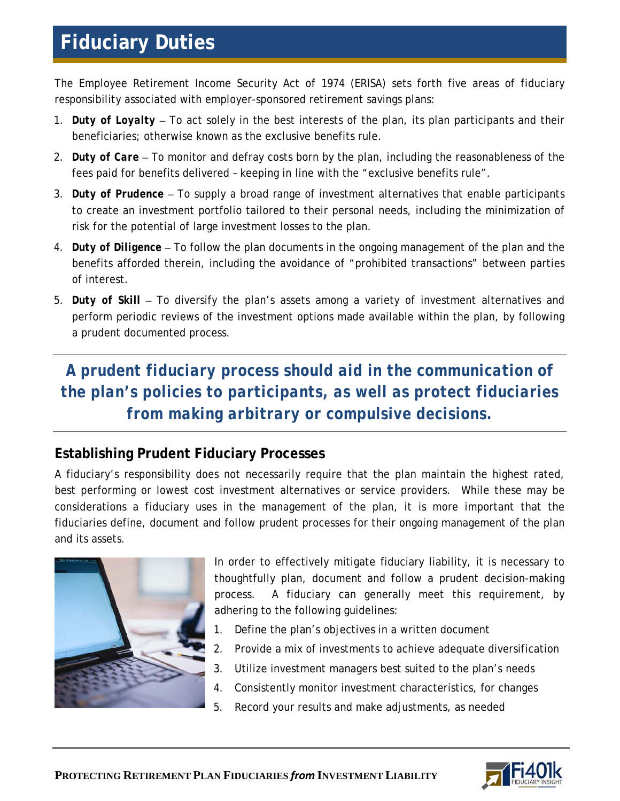# **Fiduciary Duties**

The Employee Retirement Income Security Act of 1974 (ERISA) sets forth five areas of fiduciary responsibility associated with employer-sponsored retirement savings plans:

- 1. *Duty of Loyalty*  To act solely in the best interests of the plan, its plan participants and their beneficiaries; otherwise known as the exclusive benefits rule.
- 2. *Duty of Care*  To monitor and defray costs born by the plan, including the reasonableness of the fees paid for benefits delivered – keeping in line with the "exclusive benefits rule".
- 3. *Duty of Prudence*  To supply a broad range of investment alternatives that enable participants to create an investment portfolio tailored to their personal needs, including the minimization of risk for the potential of large investment losses to the plan.
- 4. *Duty of Diligence*  To follow the plan documents in the ongoing management of the plan and the benefits afforded therein, including the avoidance of "prohibited transactions" between parties of interest.
- 5. *Duty of Skill*  To diversify the plan's assets among a variety of investment alternatives and perform periodic reviews of the investment options made available within the plan, by following a prudent documented process.

*A prudent fiduciary process should aid in the communication of the plan's policies to participants, as well as protect fiduciaries from making arbitrary or compulsive decisions.* 

### **Establishing Prudent Fiduciary Processes**

A fiduciary's responsibility does not necessarily require that the plan maintain the highest rated, best performing or lowest cost investment alternatives or service providers. While these may be considerations a fiduciary uses in the management of the plan, it is more important that the fiduciaries define, document and follow prudent processes for their ongoing management of the plan and its assets.



In order to effectively mitigate fiduciary liability, it is necessary to thoughtfully plan, document and follow a prudent decision-making process. A fiduciary can generally meet this requirement, by adhering to the following guidelines:

- 1. Define the plan's objectives in a written document
- 2. Provide a mix of investments to achieve adequate diversification
- 3. Utilize investment managers best suited to the plan's needs
- 4. Consistently monitor investment characteristics, for changes
- 5. Record your results and make adjustments, as needed

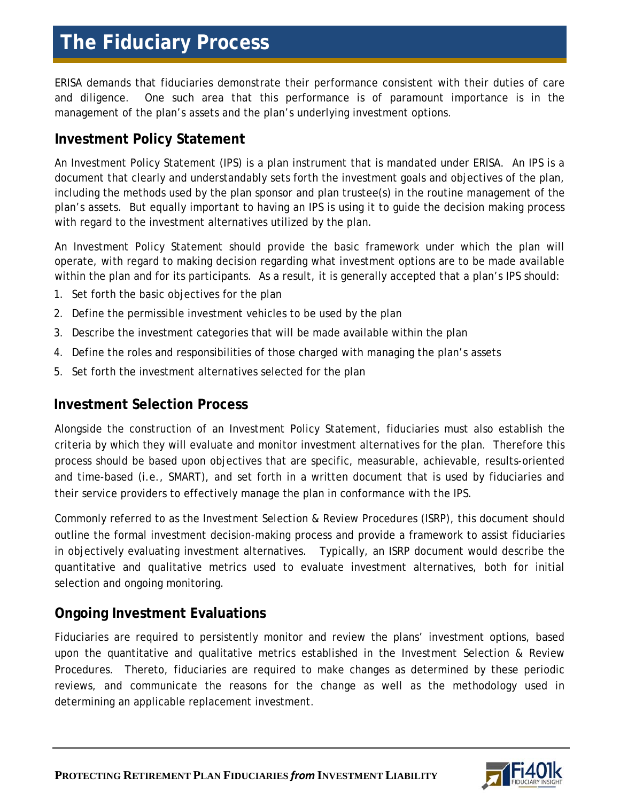## **The Fiduciary Process**

ERISA demands that fiduciaries demonstrate their performance consistent with their duties of care and diligence. One such area that this performance is of paramount importance is in the management of the plan's assets and the plan's underlying investment options.

### **Investment Policy Statement**

An Investment Policy Statement (IPS) is a plan instrument that is mandated under ERISA. An IPS is a document that clearly and understandably sets forth the investment goals and objectives of the plan, including the methods used by the plan sponsor and plan trustee(s) in the routine management of the plan's assets. But equally important to having an IPS is using it to guide the decision making process with regard to the investment alternatives utilized by the plan.

An Investment Policy Statement should provide the basic framework under which the plan will operate, with regard to making decision regarding what investment options are to be made available within the plan and for its participants. As a result, it is generally accepted that a plan's IPS should:

- 1. Set forth the basic objectives for the plan
- 2. Define the permissible investment vehicles to be used by the plan
- 3. Describe the investment categories that will be made available within the plan
- 4. Define the roles and responsibilities of those charged with managing the plan's assets
- 5. Set forth the investment alternatives selected for the plan

#### **Investment Selection Process**

Alongside the construction of an Investment Policy Statement, fiduciaries must also establish the criteria by which they will evaluate and monitor investment alternatives for the plan. Therefore this process should be based upon objectives that are specific, measurable, achievable, results-oriented and time-based (i.e., SMART), and set forth in a written document that is used by fiduciaries and their service providers to effectively manage the plan in conformance with the IPS.

Commonly referred to as the *Investment Selection & Review Procedures (ISRP)*, this document should outline the formal investment decision-making process and provide a framework to assist fiduciaries in objectively evaluating investment alternatives. Typically, an ISRP document would describe the quantitative and qualitative metrics used to evaluate investment alternatives, both for initial selection and ongoing monitoring.

### **Ongoing Investment Evaluations**

Fiduciaries are required to persistently monitor and review the plans' investment options, based upon the quantitative and qualitative metrics established in the *Investment Selection & Review Procedures*. Thereto, fiduciaries are required to make changes as determined by these periodic reviews, and communicate the reasons for the change as well as the methodology used in determining an applicable replacement investment.

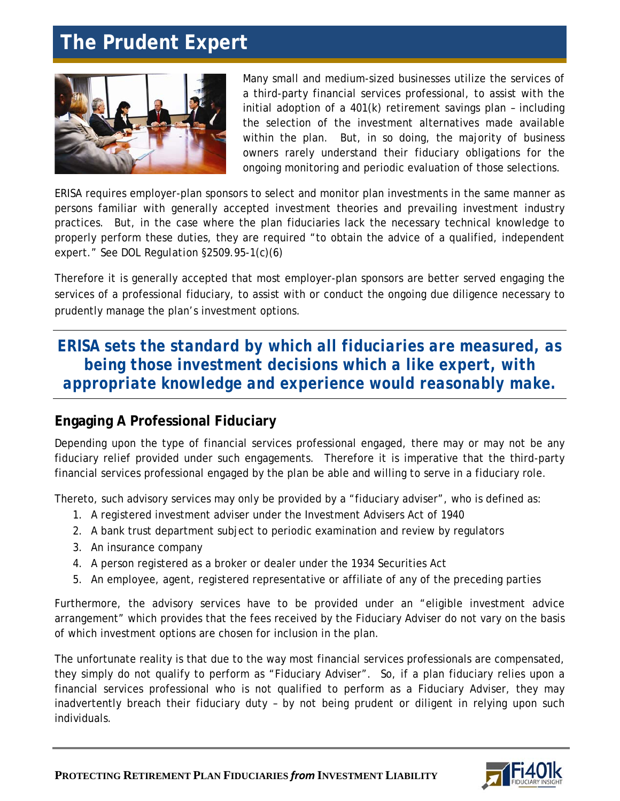### **The Prudent Expert**



Many small and medium-sized businesses utilize the services of a third-party financial services professional, to assist with the initial adoption of a 401(k) retirement savings plan – including the selection of the investment alternatives made available within the plan. But, in so doing, the majority of business owners rarely understand their fiduciary obligations for the ongoing monitoring and periodic evaluation of those selections.

ERISA requires employer-plan sponsors to select and monitor plan investments in the same manner as persons familiar with generally accepted investment theories and prevailing investment industry practices. But, in the case where the plan fiduciaries lack the necessary technical knowledge to properly perform these duties, they are required "to obtain the advice of a qualified, independent expert." *See DOL Regulation §2509.95-1(c)(6)*

Therefore it is generally accepted that most employer-plan sponsors are better served engaging the services of a professional fiduciary, to assist with or conduct the ongoing due diligence necessary to prudently manage the plan's investment options.

### *ERISA sets the standard by which all fiduciaries are measured, as being those investment decisions which a like expert, with appropriate knowledge and experience would reasonably make.*

### **Engaging A Professional Fiduciary**

Depending upon the type of financial services professional engaged, there may or may not be any fiduciary relief provided under such engagements. Therefore it is imperative that the third-party financial services professional engaged by the plan be able and willing to serve in a fiduciary role.

Thereto, such advisory services may only be provided by a "fiduciary adviser", who is defined as:

- 1. A registered investment adviser under the Investment Advisers Act of 1940
- 2. A bank trust department subject to periodic examination and review by regulators
- 3. An insurance company
- 4. A person registered as a broker or dealer under the 1934 Securities Act
- 5. An employee, agent, registered representative or affiliate of any of the preceding parties

Furthermore, the advisory services have to be provided under an "eligible investment advice arrangement" which provides that the fees received by the Fiduciary Adviser do not vary on the basis of which investment options are chosen for inclusion in the plan.

The unfortunate reality is that due to the way most financial services professionals are compensated, they simply do not qualify to perform as "Fiduciary Adviser". So, if a plan fiduciary relies upon a financial services professional who is not qualified to perform as a Fiduciary Adviser, they may inadvertently breach their fiduciary duty – by not being prudent or diligent in relying upon such individuals.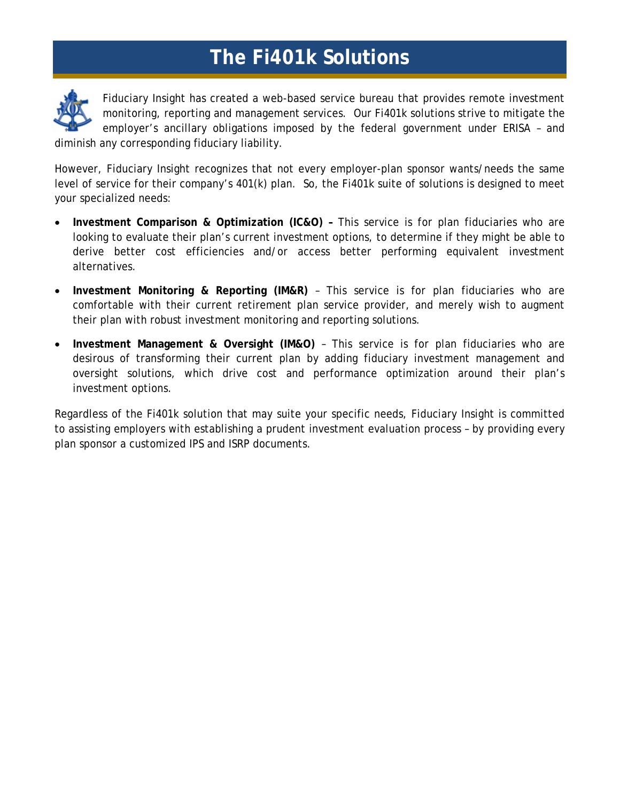## **The Fi401k Solutions**



Fiduciary Insight has created a web-based service bureau that provides remote investment monitoring, reporting and management services. Our Fi401k solutions strive to mitigate the employer's ancillary obligations imposed by the federal government under ERISA – and diminish any corresponding fiduciary liability.

However, Fiduciary Insight recognizes that not every employer-plan sponsor wants/needs the same level of service for their company's 401(k) plan. So, the Fi401k suite of solutions is designed to meet your specialized needs:

- **Investment Comparison & Optimization (IC&O)** This service is for plan fiduciaries who are looking to evaluate their plan's current investment options, to determine if they might be able to derive better cost efficiencies and/or access better performing equivalent investment alternatives.
- **Investment Monitoring & Reporting (IM&R)** This service is for plan fiduciaries who are comfortable with their current retirement plan service provider, and merely wish to augment their plan with robust investment monitoring and reporting solutions.
- **Investment Management & Oversight (IM&O)** This service is for plan fiduciaries who are desirous of transforming their current plan by adding fiduciary investment management and oversight solutions, which drive cost and performance optimization around their plan's investment options.

Regardless of the Fi401k solution that may suite your specific needs, Fiduciary Insight is committed to assisting employers with establishing a prudent investment evaluation process – by providing every plan sponsor a customized *IPS* and *ISRP* documents.